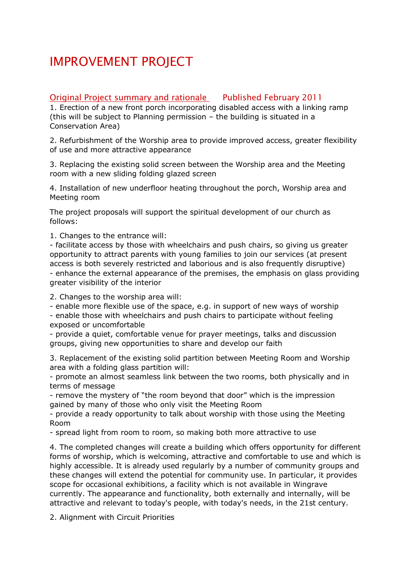## IMPROVEMENT PROJECT

## Original Project summary and rationale Published February 2011

1. Erection of a new front porch incorporating disabled access with a linking ramp (this will be subject to Planning permission – the building is situated in a Conservation Area)

2. Refurbishment of the Worship area to provide improved access, greater flexibility of use and more attractive appearance

3. Replacing the existing solid screen between the Worship area and the Meeting room with a new sliding folding glazed screen

4. Installation of new underfloor heating throughout the porch, Worship area and Meeting room

The project proposals will support the spiritual development of our church as follows:

1. Changes to the entrance will:

- facilitate access by those with wheelchairs and push chairs, so giving us greater opportunity to attract parents with young families to join our services (at present access is both severely restricted and laborious and is also frequently disruptive) - enhance the external appearance of the premises, the emphasis on glass providing greater visibility of the interior

2. Changes to the worship area will:

- enable more flexible use of the space, e.g. in support of new ways of worship - enable those with wheelchairs and push chairs to participate without feeling exposed or uncomfortable

- provide a quiet, comfortable venue for prayer meetings, talks and discussion groups, giving new opportunities to share and develop our faith

3. Replacement of the existing solid partition between Meeting Room and Worship area with a folding glass partition will:

- promote an almost seamless link between the two rooms, both physically and in terms of message

- remove the mystery of "the room beyond that door" which is the impression gained by many of those who only visit the Meeting Room

- provide a ready opportunity to talk about worship with those using the Meeting Room

- spread light from room to room, so making both more attractive to use

4. The completed changes will create a building which offers opportunity for different forms of worship, which is welcoming, attractive and comfortable to use and which is highly accessible. It is already used regularly by a number of community groups and these changes will extend the potential for community use. In particular, it provides scope for occasional exhibitions, a facility which is not available in Wingrave currently. The appearance and functionality, both externally and internally, will be attractive and relevant to today's people, with today's needs, in the 21st century.

2. Alignment with Circuit Priorities